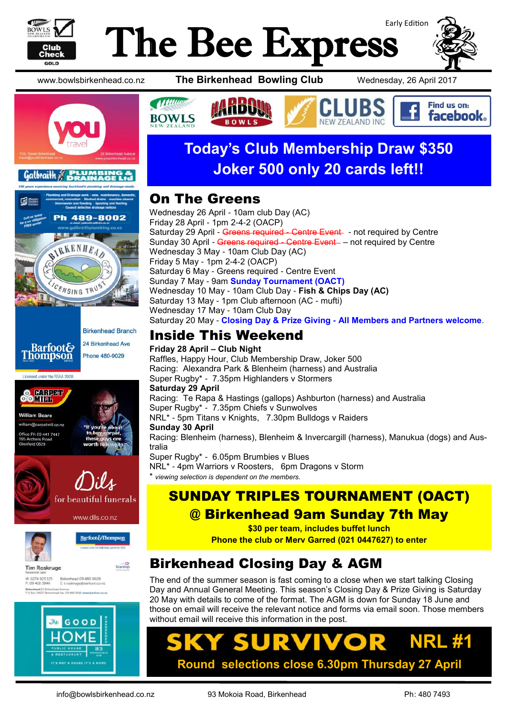

# Early Edition The Bee Express



Find us on: **facebook** 







Licensed under the REAA 2008













www.bowlsbirkenhead.co.nz **The Birkenhead Bowling Club** Wednesday, 26 April 2017



# **Today's Club Membership Draw \$350 Joker 500 only 20 cards left!!**

**W 7FAI AND INC** 

#### On The Greens

Wednesday 26 April - 10am club Day (AC) Friday 28 April - 1pm 2-4-2 (OACP) Saturday 29 April - Greens required - Centre Event - not required by Centre Sunday 30 April - Greens required - Centre Event - not required by Centre Wednesday 3 May - 10am Club Day (AC) Friday 5 May - 1pm 2-4-2 (OACP) Saturday 6 May - Greens required - Centre Event Sunday 7 May - 9am **Sunday Tournament (OACT)** Wednesday 10 May - 10am Club Day - **Fish & Chips Day (AC)** Saturday 13 May - 1pm Club afternoon (AC - mufti) Wednesday 17 May - 10am Club Day Saturday 20 May - **Closing Day & Prize Giving - All Members and Partners welcome**.

### Inside This Weekend

**Friday 28 April – Club Night** Raffles, Happy Hour, Club Membership Draw, Joker 500 Racing: Alexandra Park & Blenheim (harness) and Australia Super Rugby\* - 7.35pm Highlanders v Stormers **Saturday 29 April** Racing: Te Rapa & Hastings (gallops) Ashburton (harness) and Australia Super Rugby\* - 7.35pm Chiefs v Sunwolves NRL\* - 5pm Titans v Knights, 7.30pm Bulldogs v Raiders **Sunday 30 April** Racing: Blenheim (harness), Blenheim & Invercargill (harness), Manukua (dogs) and Australia Super Rugby\* - 6.05pm Brumbies v Blues NRL\* - 4pm Warriors v Roosters, 6pm Dragons v Storm  $viewing selection is dependent on the members.$ 

## SUNDAY TRIPLES TOURNAMENT (OACT) @ Birkenhead 9am Sunday 7th May

**\$30 per team, includes buffet lunch**

**Phone the club or Merv Garred (021 0447627) to enter**

# Birkenhead Closing Day & AGM

The end of the summer season is fast coming to a close when we start talking Closing Day and Annual General Meeting. This season's Closing Day & Prize Giving is Saturday 20 May with details to come of the format. The AGM is down for Sunday 18 June and those on email will receive the relevant notice and forms via email soon. Those members without email will receive this information in the post.

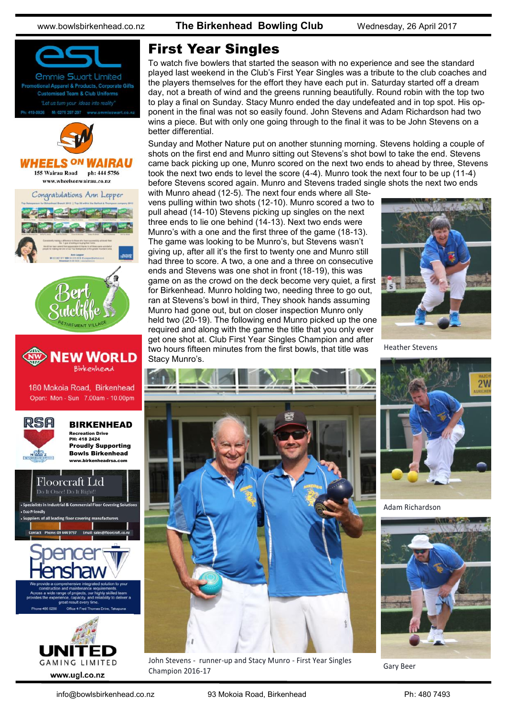www.bowlsbirkenhead.co.nz **The Birkenhead Bowling Club** Wednesday, 26 April 2017





#### First Year Singles

To watch five bowlers that started the season with no experience and see the standard played last weekend in the Club's First Year Singles was a tribute to the club coaches and the players themselves for the effort they have each put in. Saturday started off a dream day, not a breath of wind and the greens running beautifully. Round robin with the top two to play a final on Sunday. Stacy Munro ended the day undefeated and in top spot. His opponent in the final was not so easily found. John Stevens and Adam Richardson had two wins a piece. But with only one going through to the final it was to be John Stevens on a better differential.

Sunday and Mother Nature put on another stunning morning. Stevens holding a couple of shots on the first end and Munro sitting out Stevens's shot bowl to take the end. Stevens came back picking up one, Munro scored on the next two ends to ahead by three, Stevens took the next two ends to level the score (4-4). Munro took the next four to be up (11-4) before Stevens scored again. Munro and Stevens traded single shots the next two ends

with Munro ahead (12-5). The next four ends where all Stevens pulling within two shots (12-10). Munro scored a two to pull ahead (14-10) Stevens picking up singles on the next three ends to lie one behind (14-13). Next two ends were Munro's with a one and the first three of the game (18-13). The game was looking to be Munro's, but Stevens wasn't giving up, after all it's the first to twenty one and Munro still had three to score. A two, a one and a three on consecutive ends and Stevens was one shot in front (18-19), this was game on as the crowd on the deck become very quiet, a first for Birkenhead. Munro holding two, needing three to go out, ran at Stevens's bowl in third, They shook hands assuming Munro had gone out, but on closer inspection Munro only held two (20-19). The following end Munro picked up the one required and along with the game the title that you only ever get one shot at. Club First Year Singles Champion and after two hours fifteen minutes from the first bowls, that title was Stacy Munro's.



Heather Stevens





Adam Richardson



Champion 2016-17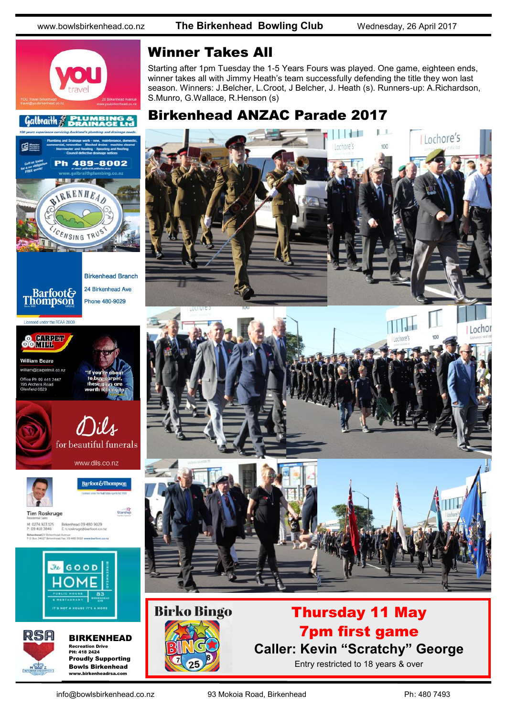489-8002

www.bowlsbirkenhead.co.nz **The Birkenhead Bowling Club** Wednesday, 26 April 2017



#### Winner Takes All

Starting after 1pm Tuesday the 1-5 Years Fours was played. One game, eighteen ends, winner takes all with Jimmy Heath's team successfully defending the title they won last season. Winners: J.Belcher, L.Croot, J Belcher, J. Heath (s). Runners-up: A.Richardson, S.Munro, G.Wallace, R.Henson (s)

#### Birkenhead ANZAC Parade 2017





# Thursday 11 May 7pm first game **Caller: Kevin "Scratchy" George**

Entry restricted to 18 years & over



**STEP AND IN** IRKENHEA

**24 Birkenhead Ave** 

Licensed under the REAA 2008

**G3** 





e Ph 09 441 7447 d 0629









Barfoot&Thompson

**Tim Roskruge** M: 0274 923 125 Birkenhead 09 480 9029<br>P: 09 418 3846 Etroskruge@barfoot.co





BIRKENHEAD Recreation Drive PH: 418 2424 Proudly Supporting Bowls Birkenhead www.birkenheadrsa.com